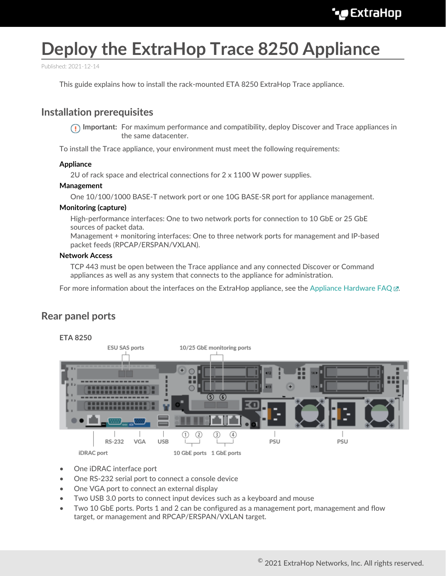# **Deploy the ExtraHop Trace 8250 Appliance**

Published: 2021-12-14

This guide explains how to install the rack-mounted ETA 8250 ExtraHop Trace appliance.

## **Installation prerequisites**

**Important:** For maximum performance and compatibility, deploy Discover and Trace appliances in the same datacenter.

To install the Trace appliance, your environment must meet the following requirements:

#### **Appliance**

2U of rack space and electrical connections for 2 x 1100 W power supplies.

#### **Management**

One 10/100/1000 BASE-T network port or one 10G BASE-SR port for appliance management.

#### **Monitoring (capture)**

High-performance interfaces: One to two network ports for connection to 10 GbE or 25 GbE sources of packet data.

Management + monitoring interfaces: One to three network ports for management and IP-based packet feeds (RPCAP/ERSPAN/VXLAN).

#### **Network Access**

TCP 443 must be open between the Trace appliance and any connected Discover or Command appliances as well as any system that connects to the appliance for administration.

For more information about the interfaces on the ExtraHop appliance, see the [Appliance Hardware FAQ](https://docs.extrahop.com/8.6/app-hw-faq/#appliance-hardware-faq)  $\mathbb{E}$ .

## **Rear panel ports**



- One iDRAC interface port
- One RS-232 serial port to connect a console device
- One VGA port to connect an external display
- Two USB 3.0 ports to connect input devices such as a keyboard and mouse
- Two 10 GbE ports. Ports 1 and 2 can be configured as a management port, management and flow target, or management and RPCAP/ERSPAN/VXLAN target.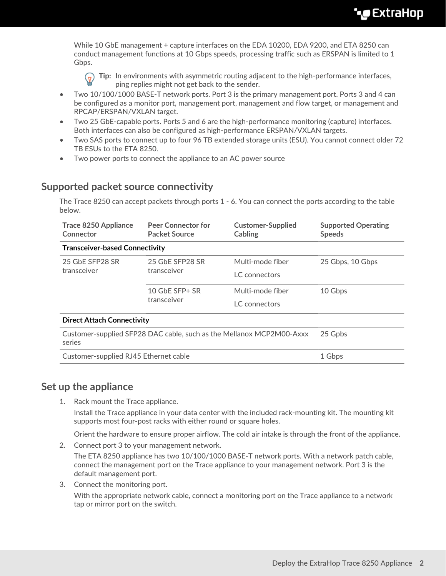While 10 GbE management + capture interfaces on the EDA 10200, EDA 9200, and ETA 8250 can conduct management functions at 10 Gbps speeds, processing traffic such as ERSPAN is limited to 1 Gbps.

**Tip:** In environments with asymmetric routing adjacent to the high-performance interfaces, ping replies might not get back to the sender.

- Two 10/100/1000 BASE-T network ports. Port 3 is the primary management port. Ports 3 and 4 can be configured as a monitor port, management port, management and flow target, or management and RPCAP/ERSPAN/VXLAN target.
- Two 25 GbE-capable ports. Ports 5 and 6 are the high-performance monitoring (capture) interfaces. Both interfaces can also be configured as high-performance ERSPAN/VXLAN targets.
- Two SAS ports to connect up to four 96 TB extended storage units (ESU). You cannot connect older 72 TB ESUs to the ETA 8250.
- Two power ports to connect the appliance to an AC power source

## **Supported packet source connectivity**

The Trace 8250 can accept packets through ports 1 - 6. You can connect the ports according to the table below.

| <b>Trace 8250 Appliance</b><br>Connector                                       | <b>Peer Connector for</b><br><b>Packet Source</b> | <b>Customer-Supplied</b><br><b>Cabling</b> | <b>Supported Operating</b><br><b>Speeds</b> |
|--------------------------------------------------------------------------------|---------------------------------------------------|--------------------------------------------|---------------------------------------------|
| <b>Transceiver-based Connectivity</b>                                          |                                                   |                                            |                                             |
| 25 GbE SFP28 SR<br>transceiver                                                 | 25 GbE SFP28 SR<br>transceiver                    | Multi-mode fiber                           | 25 Gbps, 10 Gbps                            |
|                                                                                |                                                   | LC connectors                              |                                             |
|                                                                                | 10 GbE SFP+ SR<br>transceiver                     | Multi-mode fiber                           | 10 Gbps                                     |
|                                                                                |                                                   | LC connectors                              |                                             |
| <b>Direct Attach Connectivity</b>                                              |                                                   |                                            |                                             |
| Customer-supplied SFP28 DAC cable, such as the Mellanox MCP2M00-Axxx<br>series |                                                   |                                            | 25 Gpbs                                     |
| Customer-supplied RJ45 Ethernet cable                                          |                                                   |                                            | 1 Gbps                                      |

## **Set up the appliance**

1. Rack mount the Trace appliance.

Install the Trace appliance in your data center with the included rack-mounting kit. The mounting kit supports most four-post racks with either round or square holes.

Orient the hardware to ensure proper airflow. The cold air intake is through the front of the appliance.

2. Connect port 3 to your management network.

The ETA 8250 appliance has two 10/100/1000 BASE-T network ports. With a network patch cable, connect the management port on the Trace appliance to your management network. Port 3 is the default management port.

3. Connect the monitoring port.

With the appropriate network cable, connect a monitoring port on the Trace appliance to a network tap or mirror port on the switch.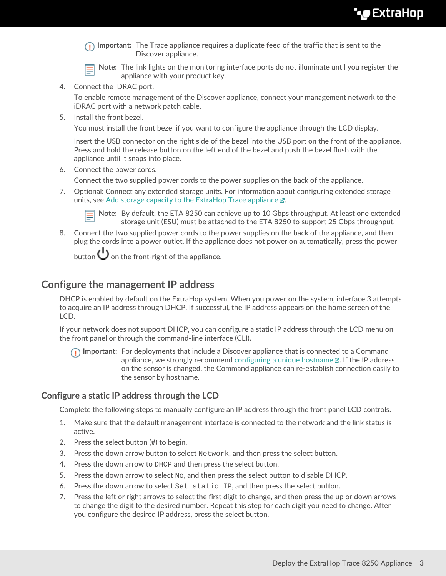**Important:** The Trace appliance requires a duplicate feed of the traffic that is sent to the Discover appliance.

**Note:** The link lights on the monitoring interface ports do not illuminate until you register the appliance with your product key.

4. Connect the iDRAC port.

To enable remote management of the Discover appliance, connect your management network to the iDRAC port with a network patch cable.

5. Install the front bezel.

You must install the front bezel if you want to configure the appliance through the LCD display.

Insert the USB connector on the right side of the bezel into the USB port on the front of the appliance. Press and hold the release button on the left end of the bezel and push the bezel flush with the appliance until it snaps into place.

6. Connect the power cords.

Connect the two supplied power cords to the power supplies on the back of the appliance.

7. Optional: Connect any extended storage units. For information about configuring extended storage units, see [Add storage capacity to the ExtraHop Trace appliance .](https://docs.extrahop.com/8.6/deploy-esu/#add-storage-capacity-to-the-extrahop-trace-appliance)..



**Note:** By default, the ETA 8250 can achieve up to 10 Gbps throughput. At least one extended storage unit (ESU) must be attached to the ETA 8250 to support 25 Gbps throughput.

8. Connect the two supplied power cords to the power supplies on the back of the appliance, and then plug the cords into a power outlet. If the appliance does not power on automatically, press the power

button  $\bigcup$  on the front-right of the appliance.

## **Configure the management IP address**

DHCP is enabled by default on the ExtraHop system. When you power on the system, interface 3 attempts to acquire an IP address through DHCP. If successful, the IP address appears on the home screen of the LCD.

If your network does not support DHCP, you can configure a static IP address through the LCD menu on the front panel or through the command-line interface (CLI).

**Important:** For deployments that include a Discover appliance that is connected to a Command appliance, we strongly recommend [configuring a unique hostname](https://docs.extrahop.com/8.6/eta-admin-ui-guide/#connectivity)  $\mathbb{E}$ . If the IP address on the sensor is changed, the Command appliance can re-establish connection easily to the sensor by hostname.

#### **Configure a static IP address through the LCD**

Complete the following steps to manually configure an IP address through the front panel LCD controls.

- 1. Make sure that the default management interface is connected to the network and the link status is active.
- 2. Press the select button (#) to begin.
- 3. Press the down arrow button to select Network, and then press the select button.
- 4. Press the down arrow to DHCP and then press the select button.
- 5. Press the down arrow to select  $N_{\text{O}}$ , and then press the select button to disable DHCP.
- 6. Press the down arrow to select Set static IP, and then press the select button.
- 7. Press the left or right arrows to select the first digit to change, and then press the up or down arrows to change the digit to the desired number. Repeat this step for each digit you need to change. After you configure the desired IP address, press the select button.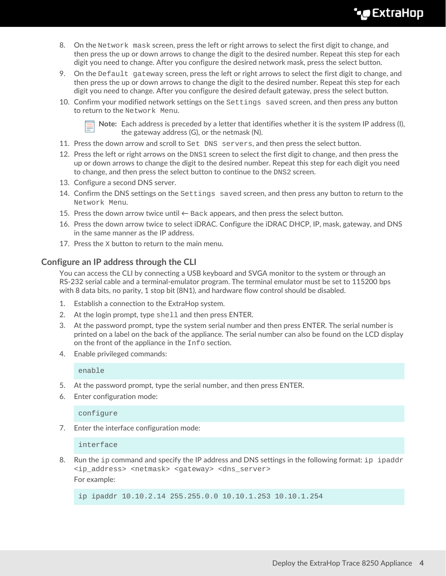## **∙e** ExtraHop

- 8. On the Network mask screen, press the left or right arrows to select the first digit to change, and then press the up or down arrows to change the digit to the desired number. Repeat this step for each digit you need to change. After you configure the desired network mask, press the select button.
- 9. On the Default gateway screen, press the left or right arrows to select the first digit to change, and then press the up or down arrows to change the digit to the desired number. Repeat this step for each digit you need to change. After you configure the desired default gateway, press the select button.
- 10. Confirm your modified network settings on the Settings saved screen, and then press any button to return to the Network Menu.



**Note:** Each address is preceded by a letter that identifies whether it is the system IP address (I), the gateway address (G), or the netmask (N).

- 11. Press the down arrow and scroll to Set DNS servers, and then press the select button.
- 12. Press the left or right arrows on the DNS1 screen to select the first digit to change, and then press the up or down arrows to change the digit to the desired number. Repeat this step for each digit you need to change, and then press the select button to continue to the DNS2 screen.
- 13. Configure a second DNS server.
- 14. Confirm the DNS settings on the Settings saved screen, and then press any button to return to the Network Menu.
- 15. Press the down arrow twice until  $\leftarrow$  Back appears, and then press the select button.
- 16. Press the down arrow twice to select iDRAC. Configure the iDRAC DHCP, IP, mask, gateway, and DNS in the same manner as the IP address.
- 17. Press the X button to return to the main menu.

#### **Configure an IP address through the CLI**

You can access the CLI by connecting a USB keyboard and SVGA monitor to the system or through an RS-232 serial cable and a terminal-emulator program. The terminal emulator must be set to 115200 bps with 8 data bits, no parity, 1 stop bit (8N1), and hardware flow control should be disabled.

- 1. Establish a connection to the ExtraHop system.
- 2. At the login prompt, type shell and then press ENTER.
- 3. At the password prompt, type the system serial number and then press ENTER. The serial number is printed on a label on the back of the appliance. The serial number can also be found on the LCD display on the front of the appliance in the Info section.
- 4. Enable privileged commands:

enable

- 5. At the password prompt, type the serial number, and then press ENTER.
- 6. Enter configuration mode:

configure

7. Enter the interface configuration mode:

interface

8. Run the ip command and specify the IP address and DNS settings in the following format: ip ipaddr <ip\_address> <netmask> <gateway> <dns\_server> For example:

ip ipaddr 10.10.2.14 255.255.0.0 10.10.1.253 10.10.1.254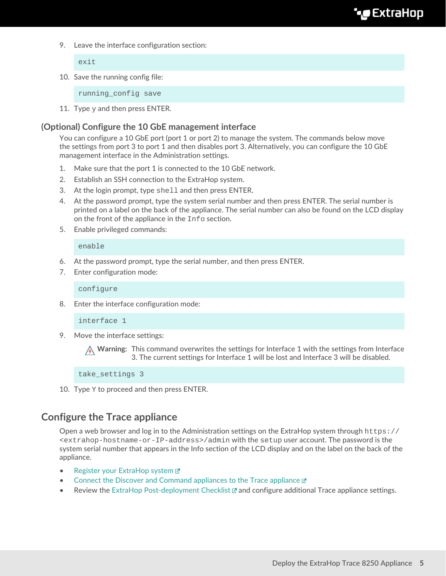9. Leave the interface configuration section:

exit

10. Save the running config file:

running\_config save

11. Type  $y$  and then press ENTER.

### **(Optional) Configure the 10 GbE management interface**

You can configure a 10 GbE port (port 1 or port 2) to manage the system. The commands below move the settings from port 3 to port 1 and then disables port 3. Alternatively, you can configure the 10 GbE management interface in the Administration settings.

- 1. Make sure that the port 1 is connected to the 10 GbE network.
- 2. Establish an SSH connection to the ExtraHop system.
- 3. At the login prompt, type shell and then press ENTER.
- 4. At the password prompt, type the system serial number and then press ENTER. The serial number is printed on a label on the back of the appliance. The serial number can also be found on the LCD display on the front of the appliance in the Info section.
- 5. Enable privileged commands:

enable

- 6. At the password prompt, type the serial number, and then press ENTER.
- 7. Enter configuration mode:

configure

8. Enter the interface configuration mode:

interface 1

9. Move the interface settings:

**A** Warning: This command overwrites the settings for Interface 1 with the settings from Interface 3. The current settings for Interface 1 will be lost and Interface 3 will be disabled.

take\_settings 3

10. Type Y to proceed and then press ENTER.

## **Configure the Trace appliance**

Open a web browser and log in to the Administration settings on the ExtraHop system through  $https://$ <extrahop-hostname-or-IP-address>/admin with the setup user account. The password is the system serial number that appears in the Info section of the LCD display and on the label on the back of the appliance.

- [Register your ExtraHop system](https://docs.extrahop.com/8.6/register-appliance/#register-your-extrahop-system) M
- [Connect the Discover and Command appliances to the Trace appliance](https://docs.extrahop.com/8.6/connect-eda-eca-eta/#connect-the-discover-and-command-appliances-to-the-trace-appliance) E
- Review the [ExtraHop Post-deployment Checklist](https://docs.extrahop.com/8.6/eta-post-deployment-checklist) L' and configure additional Trace appliance settings.